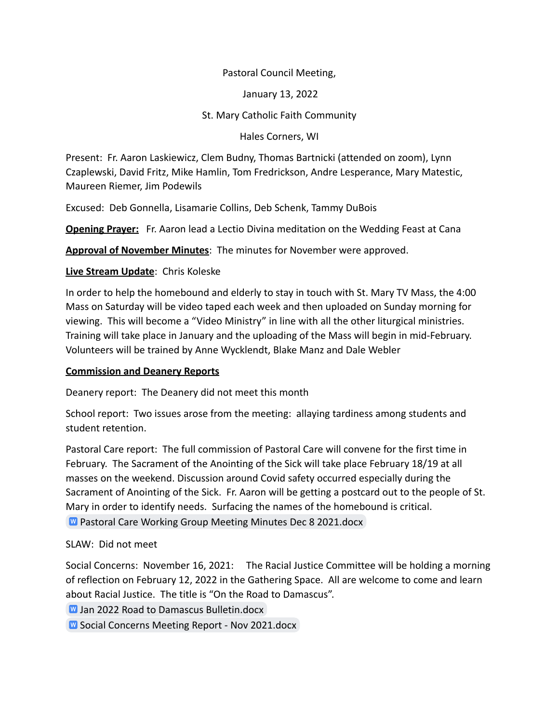#### Pastoral Council Meeting,

January 13, 2022

St. Mary Catholic Faith Community

Hales Corners, WI

Present: Fr. Aaron Laskiewicz, Clem Budny, Thomas Bartnicki (attended on zoom), Lynn Czaplewski, David Fritz, Mike Hamlin, Tom Fredrickson, Andre Lesperance, Mary Matestic, Maureen Riemer, Jim Podewils

Excused: Deb Gonnella, Lisamarie Collins, Deb Schenk, Tammy DuBois

**Opening Prayer:** Fr. Aaron lead a Lectio Divina meditation on the Wedding Feast at Cana

**Approval of November Minutes**: The minutes for November were approved.

#### **Live Stream Update**: Chris Koleske

In order to help the homebound and elderly to stay in touch with St. Mary TV Mass, the 4:00 Mass on Saturday will be video taped each week and then uploaded on Sunday morning for viewing. This will become a "Video Ministry" in line with all the other liturgical ministries. Training will take place in January and the uploading of the Mass will begin in mid-February. Volunteers will be trained by Anne Wycklendt, Blake Manz and Dale Webler

# **Commission and Deanery Reports**

Deanery report: The Deanery did not meet this month

School report: Two issues arose from the meeting: allaying tardiness among students and student retention.

Pastoral Care report: The full commission of Pastoral Care will convene for the first time in February. The Sacrament of the Anointing of the Sick will take place February 18/19 at all masses on the weekend. Discussion around Covid safety occurred especially during the Sacrament of Anointing of the Sick. Fr. Aaron will be getting a postcard out to the people of St. Mary in order to identify needs. Surfacing the names of the homebound is critical.

**W** [Pastoral Care Working Group Meeting Minutes Dec 8 2021.docx](https://docs.google.com/document/d/1B7RdMQ0nCE3SbJoJlzM7PLLW7h6p4uT8/edit?usp=sharing&ouid=101062603316395594027&rtpof=true&sd=true)

# SLAW: Did not meet

Social Concerns: November 16, 2021: The Racial Justice Committee will be holding a morning of reflection on February 12, 2022 in the Gathering Space. All are welcome to come and learn about Racial Justice. The title is "On the Road to Damascus".

**M** [Jan 2022 Road to Damascus Bulletin.docx](https://docs.google.com/document/d/17N9bnTZ4XQqCF0UeosbCz8wg450hf3IX/edit?usp=sharing&ouid=101062603316395594027&rtpof=true&sd=true)

**W** [Social Concerns Meeting Report - Nov 2021.docx](https://docs.google.com/document/d/1Z-473PxwYnmrrc00on5RDWU7lx_Vd0kY/edit?usp=sharing&ouid=101062603316395594027&rtpof=true&sd=true)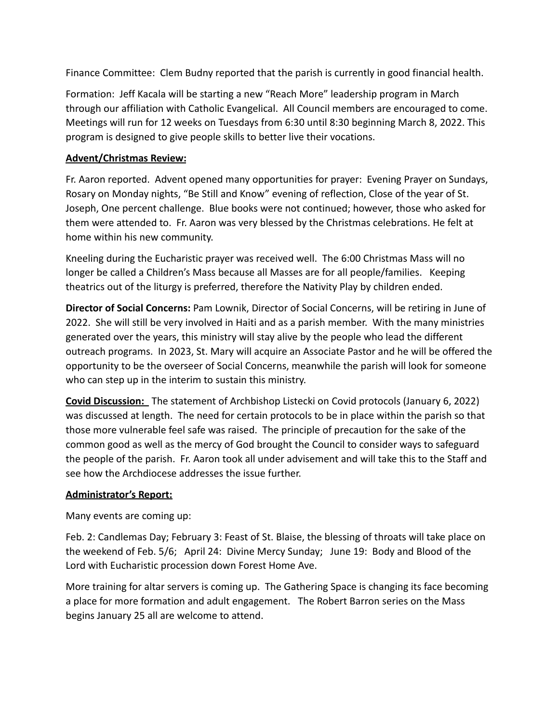Finance Committee: Clem Budny reported that the parish is currently in good financial health.

Formation: Jeff Kacala will be starting a new "Reach More" leadership program in March through our affiliation with Catholic Evangelical. All Council members are encouraged to come. Meetings will run for 12 weeks on Tuesdays from 6:30 until 8:30 beginning March 8, 2022. This program is designed to give people skills to better live their vocations.

#### **Advent/Christmas Review:**

Fr. Aaron reported. Advent opened many opportunities for prayer: Evening Prayer on Sundays, Rosary on Monday nights, "Be Still and Know" evening of reflection, Close of the year of St. Joseph, One percent challenge. Blue books were not continued; however, those who asked for them were attended to. Fr. Aaron was very blessed by the Christmas celebrations. He felt at home within his new community.

Kneeling during the Eucharistic prayer was received well. The 6:00 Christmas Mass will no longer be called a Children's Mass because all Masses are for all people/families. Keeping theatrics out of the liturgy is preferred, therefore the Nativity Play by children ended.

**Director of Social Concerns:** Pam Lownik, Director of Social Concerns, will be retiring in June of 2022. She will still be very involved in Haiti and as a parish member. With the many ministries generated over the years, this ministry will stay alive by the people who lead the different outreach programs. In 2023, St. Mary will acquire an Associate Pastor and he will be offered the opportunity to be the overseer of Social Concerns, meanwhile the parish will look for someone who can step up in the interim to sustain this ministry.

**Covid Discussion:** The statement of Archbishop Listecki on Covid protocols (January 6, 2022) was discussed at length. The need for certain protocols to be in place within the parish so that those more vulnerable feel safe was raised. The principle of precaution for the sake of the common good as well as the mercy of God brought the Council to consider ways to safeguard the people of the parish. Fr. Aaron took all under advisement and will take this to the Staff and see how the Archdiocese addresses the issue further.

# **Administrator's Report:**

Many events are coming up:

Feb. 2: Candlemas Day; February 3: Feast of St. Blaise, the blessing of throats will take place on the weekend of Feb. 5/6; April 24: Divine Mercy Sunday; June 19: Body and Blood of the Lord with Eucharistic procession down Forest Home Ave.

More training for altar servers is coming up. The Gathering Space is changing its face becoming a place for more formation and adult engagement. The Robert Barron series on the Mass begins January 25 all are welcome to attend.